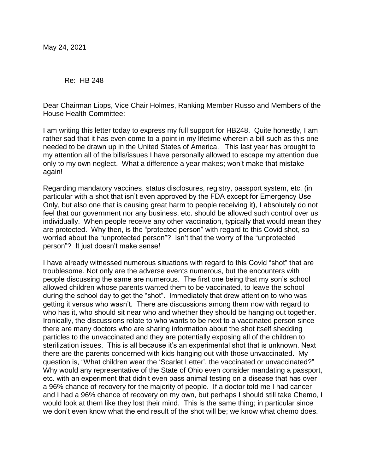Re: HB 248

Dear Chairman Lipps, Vice Chair Holmes, Ranking Member Russo and Members of the House Health Committee:

I am writing this letter today to express my full support for HB248. Quite honestly, I am rather sad that it has even come to a point in my lifetime wherein a bill such as this one needed to be drawn up in the United States of America. This last year has brought to my attention all of the bills/issues I have personally allowed to escape my attention due only to my own neglect. What a difference a year makes; won't make that mistake again!

Regarding mandatory vaccines, status disclosures, registry, passport system, etc. (in particular with a shot that isn't even approved by the FDA except for Emergency Use Only, but also one that is causing great harm to people receiving it), I absolutely do not feel that our government nor any business, etc. should be allowed such control over us individually. When people receive any other vaccination, typically that would mean they are protected. Why then, is the "protected person" with regard to this Covid shot, so worried about the "unprotected person"? Isn't that the worry of the "unprotected person"? It just doesn't make sense!

I have already witnessed numerous situations with regard to this Covid "shot" that are troublesome. Not only are the adverse events numerous, but the encounters with people discussing the same are numerous. The first one being that my son's school allowed children whose parents wanted them to be vaccinated, to leave the school during the school day to get the "shot". Immediately that drew attention to who was getting it versus who wasn't. There are discussions among them now with regard to who has it, who should sit near who and whether they should be hanging out together. Ironically, the discussions relate to who wants to be next to a vaccinated person since there are many doctors who are sharing information about the shot itself shedding particles to the unvaccinated and they are potentially exposing all of the children to sterilization issues. This is all because it's an experimental shot that is unknown. Next there are the parents concerned with kids hanging out with those unvaccinated. My question is, "What children wear the 'Scarlet Letter', the vaccinated or unvaccinated?" Why would any representative of the State of Ohio even consider mandating a passport, etc. with an experiment that didn't even pass animal testing on a disease that has over a 96% chance of recovery for the majority of people. If a doctor told me I had cancer and I had a 96% chance of recovery on my own, but perhaps I should still take Chemo, I would look at them like they lost their mind. This is the same thing; in particular since we don't even know what the end result of the shot will be; we know what chemo does.